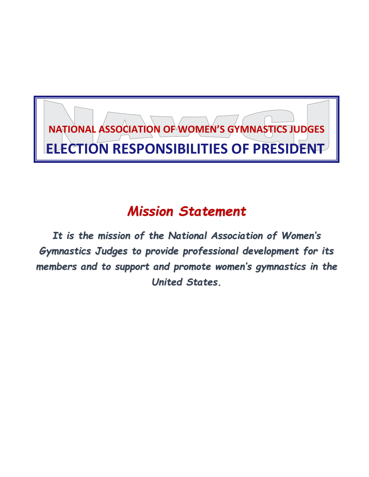

## *Mission Statement*

*It is the mission of the National Association of Women's Gymnastics Judges to provide professional development for its members and to support and promote women's gymnastics in the United States.*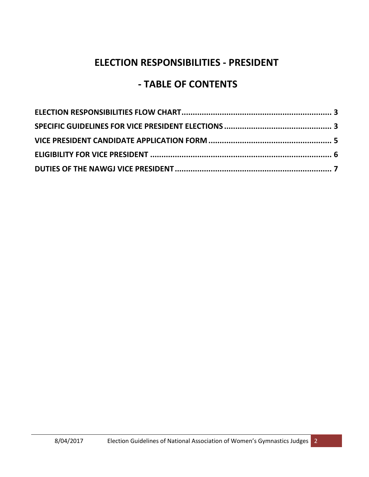### **ELECTION RESPONSIBILITIES - PRESIDENT**

## **- TABLE OF CONTENTS**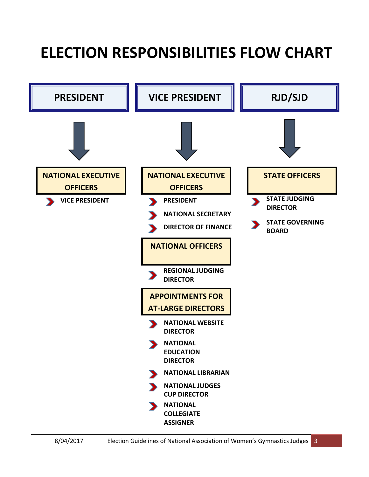# <span id="page-2-0"></span>**ELECTION RESPONSIBILITIES FLOW CHART**

<span id="page-2-1"></span>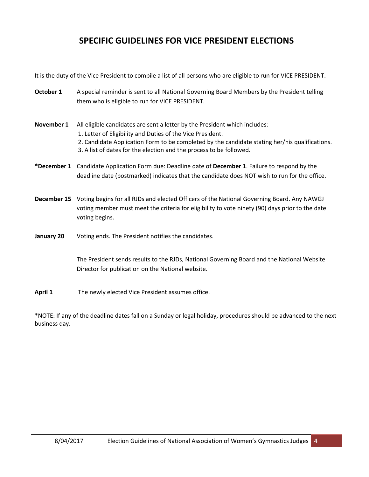#### **SPECIFIC GUIDELINES FOR VICE PRESIDENT ELECTIONS**

It is the duty of the Vice President to compile a list of all persons who are eligible to run for VICE PRESIDENT.

- **October 1** A special reminder is sent to all National Governing Board Members by the President telling them who is eligible to run for VICE PRESIDENT.
- **November 1** All eligible candidates are sent a letter by the President which includes: 1. Letter of Eligibility and Duties of the Vice President.
	- 2. Candidate Application Form to be completed by the candidate stating her/his qualifications. 3. A list of dates for the election and the process to be followed.
- **\*December 1** Candidate Application Form due: Deadline date of **December 1**. Failure to respond by the deadline date (postmarked) indicates that the candidate does NOT wish to run for the office.
- **December 15** Voting begins for all RJDs and elected Officers of the National Governing Board. Any NAWGJ voting member must meet the criteria for eligibility to vote ninety (90) days prior to the date voting begins.
- **January 20** Voting ends. The President notifies the candidates.

The President sends results to the RJDs, National Governing Board and the National Website Director for publication on the National website.

April 1 The newly elected Vice President assumes office.

\*NOTE: If any of the deadline dates fall on a Sunday or legal holiday, procedures should be advanced to the next business day.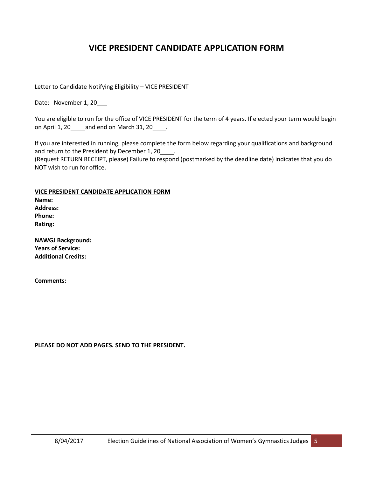#### **VICE PRESIDENT CANDIDATE APPLICATION FORM**

<span id="page-4-0"></span>Letter to Candidate Notifying Eligibility – VICE PRESIDENT

Date: November 1, 20

You are eligible to run for the office of VICE PRESIDENT for the term of 4 years. If elected your term would begin on April 1, 20\_\_\_\_ and end on March 31, 20\_\_\_\_.

If you are interested in running, please complete the form below regarding your qualifications and background and return to the President by December 1, 20

(Request RETURN RECEIPT, please) Failure to respond (postmarked by the deadline date) indicates that you do NOT wish to run for office.

**VICE PRESIDENT CANDIDATE APPLICATION FORM**

**Name: Address: Phone: Rating:**

**NAWGJ Background: Years of Service: Additional Credits:**

**Comments:** 

**PLEASE DO NOT ADD PAGES. SEND TO THE PRESIDENT.**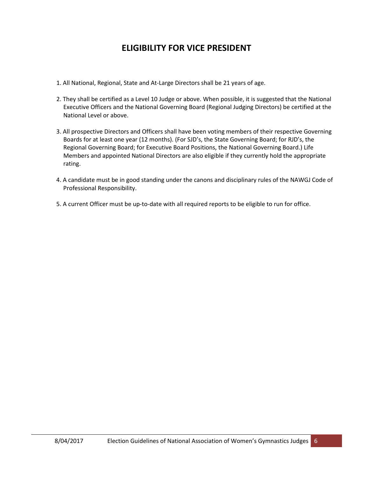#### **ELIGIBILITY FOR VICE PRESIDENT**

- <span id="page-5-0"></span>1. All National, Regional, State and At-Large Directors shall be 21 years of age.
- 2. They shall be certified as a Level 10 Judge or above. When possible, it is suggested that the National Executive Officers and the National Governing Board (Regional Judging Directors) be certified at the National Level or above.
- 3. All prospective Directors and Officers shall have been voting members of their respective Governing Boards for at least one year (12 months). (For SJD's, the State Governing Board; for RJD's, the Regional Governing Board; for Executive Board Positions, the National Governing Board.) Life Members and appointed National Directors are also eligible if they currently hold the appropriate rating.
- 4. A candidate must be in good standing under the canons and disciplinary rules of the NAWGJ Code of Professional Responsibility.
- 5. A current Officer must be up-to-date with all required reports to be eligible to run for office.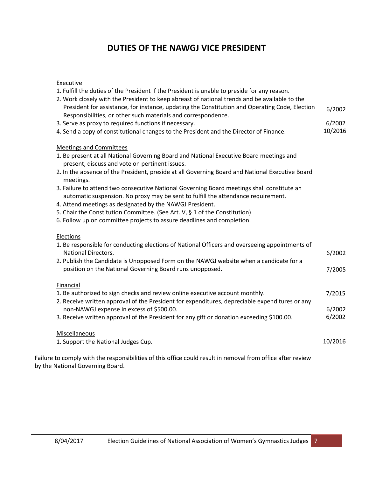#### **DUTIES OF THE NAWGJ VICE PRESIDENT**

#### <span id="page-6-0"></span>Executive

| 1. Fulfill the duties of the President if the President is unable to preside for any reason.                                              |         |
|-------------------------------------------------------------------------------------------------------------------------------------------|---------|
| 2. Work closely with the President to keep abreast of national trends and be available to the                                             |         |
| President for assistance, for instance, updating the Constitution and Operating Code, Election                                            | 6/2002  |
| Responsibilities, or other such materials and correspondence.                                                                             |         |
| 3. Serve as proxy to required functions if necessary.                                                                                     | 6/2002  |
| 4. Send a copy of constitutional changes to the President and the Director of Finance.                                                    | 10/2016 |
| <b>Meetings and Committees</b>                                                                                                            |         |
| 1. Be present at all National Governing Board and National Executive Board meetings and<br>present, discuss and vote on pertinent issues. |         |
| 2. In the absence of the President, preside at all Governing Board and National Executive Board<br>meetings.                              |         |
| 3. Failure to attend two consecutive National Governing Board meetings shall constitute an                                                |         |
| automatic suspension. No proxy may be sent to fulfill the attendance requirement.                                                         |         |
| 4. Attend meetings as designated by the NAWGJ President.                                                                                  |         |
| 5. Chair the Constitution Committee. (See Art. V, § 1 of the Constitution)                                                                |         |
| 6. Follow up on committee projects to assure deadlines and completion.                                                                    |         |
| <b>Elections</b>                                                                                                                          |         |
| 1. Be responsible for conducting elections of National Officers and overseeing appointments of                                            |         |
| <b>National Directors.</b>                                                                                                                | 6/2002  |
| 2. Publish the Candidate is Unopposed Form on the NAWGJ website when a candidate for a                                                    |         |
| position on the National Governing Board runs unopposed.                                                                                  | 7/2005  |
| <b>Financial</b>                                                                                                                          |         |
| 1. Be authorized to sign checks and review online executive account monthly.                                                              | 7/2015  |
| 2. Receive written approval of the President for expenditures, depreciable expenditures or any                                            |         |
| non-NAWGJ expense in excess of \$500.00.                                                                                                  | 6/2002  |
| 3. Receive written approval of the President for any gift or donation exceeding \$100.00.                                                 | 6/2002  |
| Miscellaneous                                                                                                                             |         |
| 1. Support the National Judges Cup.                                                                                                       | 10/2016 |
|                                                                                                                                           |         |
| Failure to comply with the responsibilities of this office could result in removal from office after review                               |         |

by the National Governing Board.